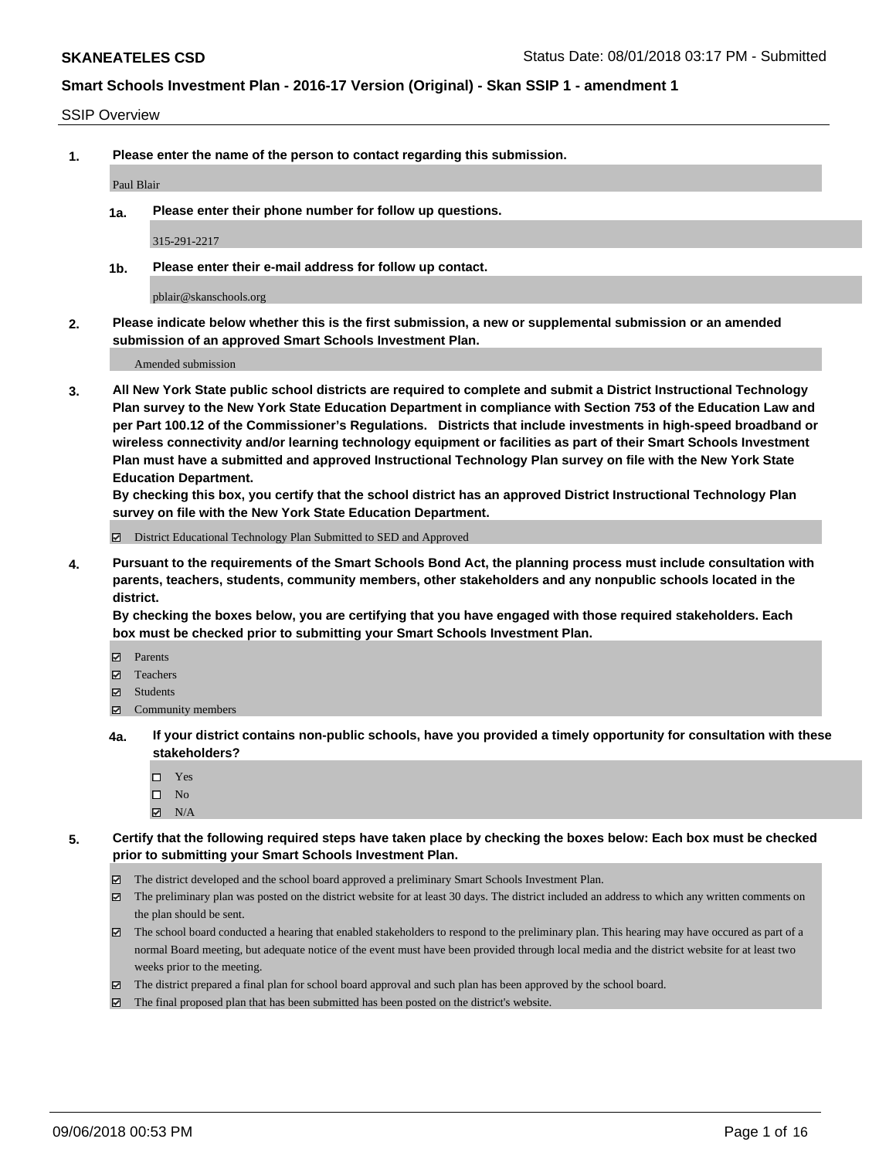#### SSIP Overview

**1. Please enter the name of the person to contact regarding this submission.**

Paul Blair

**1a. Please enter their phone number for follow up questions.**

315-291-2217

**1b. Please enter their e-mail address for follow up contact.**

pblair@skanschools.org

**2. Please indicate below whether this is the first submission, a new or supplemental submission or an amended submission of an approved Smart Schools Investment Plan.**

Amended submission

**3. All New York State public school districts are required to complete and submit a District Instructional Technology Plan survey to the New York State Education Department in compliance with Section 753 of the Education Law and per Part 100.12 of the Commissioner's Regulations. Districts that include investments in high-speed broadband or wireless connectivity and/or learning technology equipment or facilities as part of their Smart Schools Investment Plan must have a submitted and approved Instructional Technology Plan survey on file with the New York State Education Department.** 

**By checking this box, you certify that the school district has an approved District Instructional Technology Plan survey on file with the New York State Education Department.**

District Educational Technology Plan Submitted to SED and Approved

**4. Pursuant to the requirements of the Smart Schools Bond Act, the planning process must include consultation with parents, teachers, students, community members, other stakeholders and any nonpublic schools located in the district.** 

**By checking the boxes below, you are certifying that you have engaged with those required stakeholders. Each box must be checked prior to submitting your Smart Schools Investment Plan.**

- **Parents**
- Teachers
- **☑** Students
- **☑** Community members
- **4a. If your district contains non-public schools, have you provided a timely opportunity for consultation with these stakeholders?**
	- Yes
	- $\square$  No
	- $\boxtimes$  N/A
- **5. Certify that the following required steps have taken place by checking the boxes below: Each box must be checked prior to submitting your Smart Schools Investment Plan.**
	- The district developed and the school board approved a preliminary Smart Schools Investment Plan.
	- $\boxtimes$  The preliminary plan was posted on the district website for at least 30 days. The district included an address to which any written comments on the plan should be sent.
	- The school board conducted a hearing that enabled stakeholders to respond to the preliminary plan. This hearing may have occured as part of a normal Board meeting, but adequate notice of the event must have been provided through local media and the district website for at least two weeks prior to the meeting.
	- The district prepared a final plan for school board approval and such plan has been approved by the school board.
	- The final proposed plan that has been submitted has been posted on the district's website.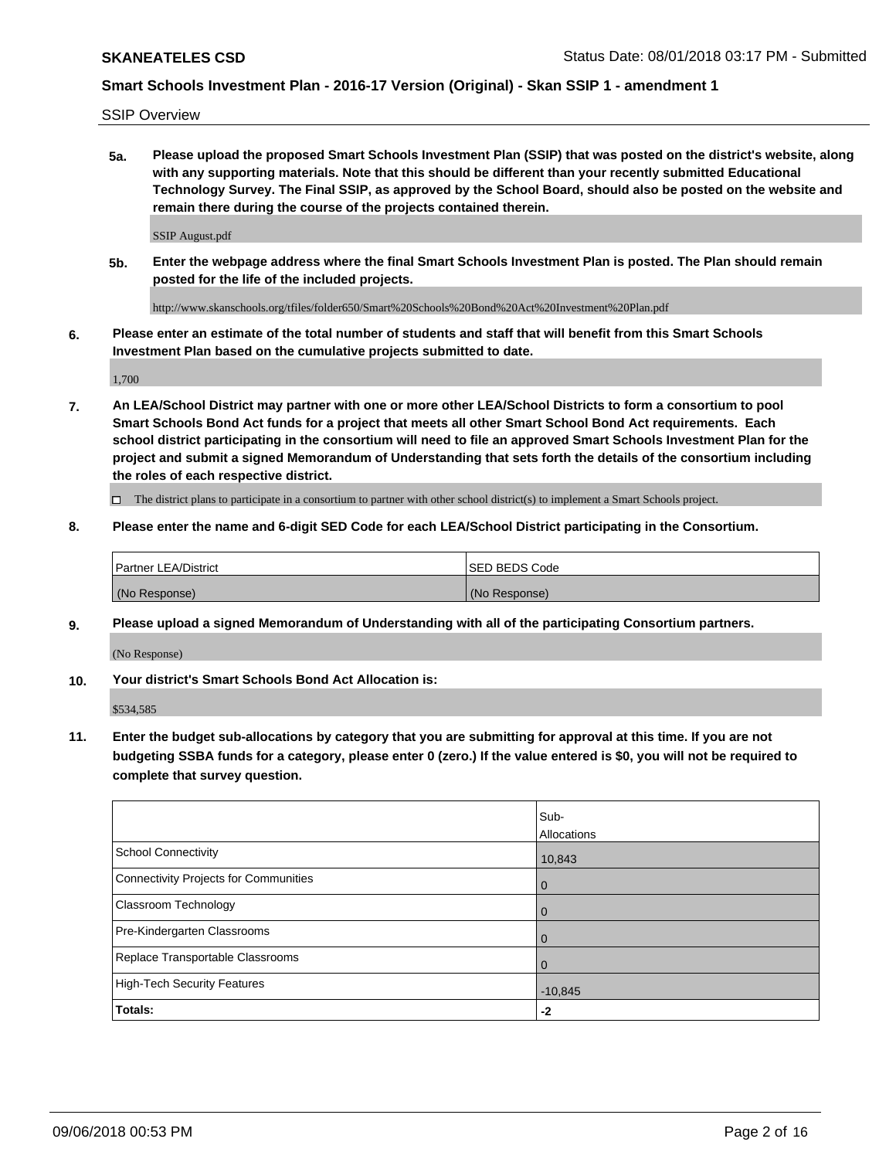SSIP Overview

**5a. Please upload the proposed Smart Schools Investment Plan (SSIP) that was posted on the district's website, along with any supporting materials. Note that this should be different than your recently submitted Educational Technology Survey. The Final SSIP, as approved by the School Board, should also be posted on the website and remain there during the course of the projects contained therein.**

SSIP August.pdf

**5b. Enter the webpage address where the final Smart Schools Investment Plan is posted. The Plan should remain posted for the life of the included projects.**

http://www.skanschools.org/tfiles/folder650/Smart%20Schools%20Bond%20Act%20Investment%20Plan.pdf

**6. Please enter an estimate of the total number of students and staff that will benefit from this Smart Schools Investment Plan based on the cumulative projects submitted to date.**

1,700

**7. An LEA/School District may partner with one or more other LEA/School Districts to form a consortium to pool Smart Schools Bond Act funds for a project that meets all other Smart School Bond Act requirements. Each school district participating in the consortium will need to file an approved Smart Schools Investment Plan for the project and submit a signed Memorandum of Understanding that sets forth the details of the consortium including the roles of each respective district.**

 $\Box$  The district plans to participate in a consortium to partner with other school district(s) to implement a Smart Schools project.

#### **8. Please enter the name and 6-digit SED Code for each LEA/School District participating in the Consortium.**

| <b>Partner LEA/District</b> | <b>ISED BEDS Code</b> |
|-----------------------------|-----------------------|
| (No Response)               | (No Response)         |

#### **9. Please upload a signed Memorandum of Understanding with all of the participating Consortium partners.**

(No Response)

**10. Your district's Smart Schools Bond Act Allocation is:**

\$534,585

**11. Enter the budget sub-allocations by category that you are submitting for approval at this time. If you are not budgeting SSBA funds for a category, please enter 0 (zero.) If the value entered is \$0, you will not be required to complete that survey question.**

|                                       | Sub-<br><b>Allocations</b> |
|---------------------------------------|----------------------------|
| School Connectivity                   | 10,843                     |
| Connectivity Projects for Communities | $\overline{0}$             |
| <b>Classroom Technology</b>           | $\overline{0}$             |
| Pre-Kindergarten Classrooms           | $\mathbf 0$                |
| Replace Transportable Classrooms      | $\mathbf 0$                |
| High-Tech Security Features           | $-10,845$                  |
| Totals:                               | -2                         |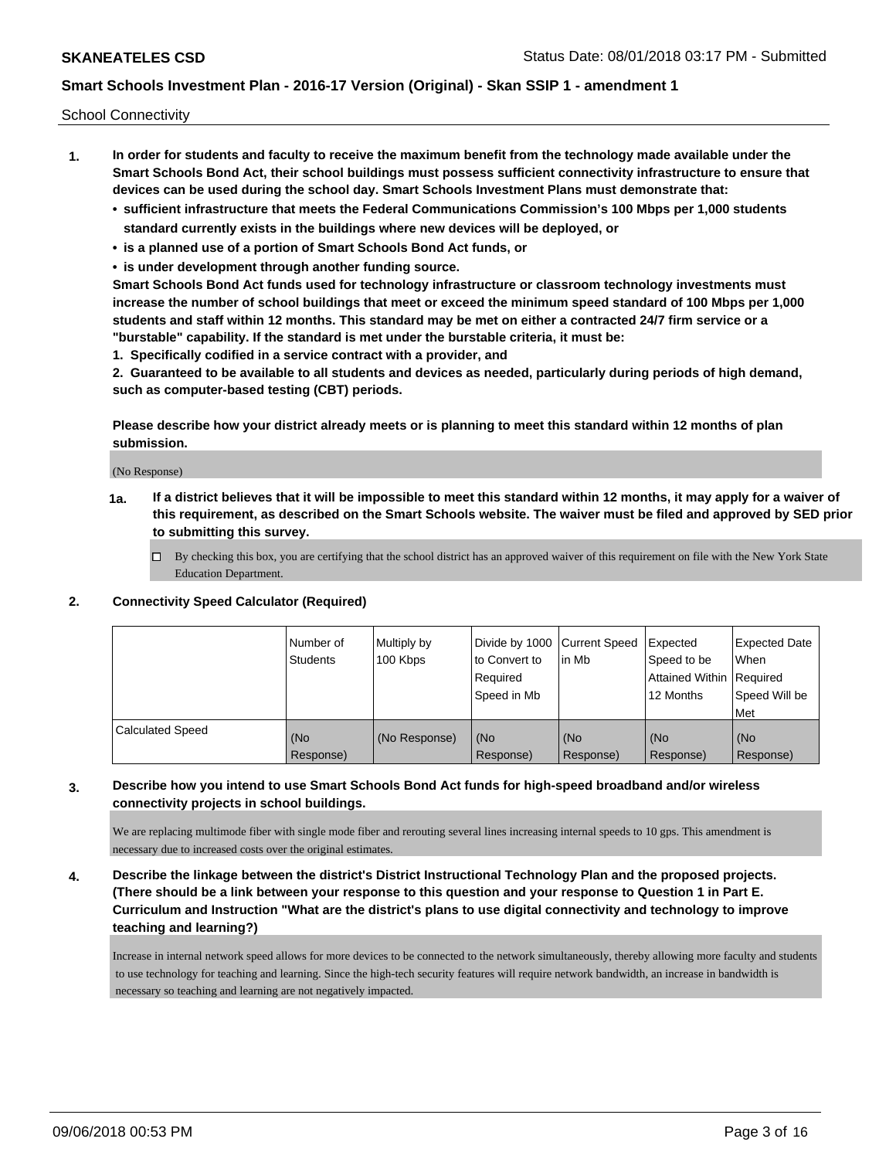School Connectivity

- **1. In order for students and faculty to receive the maximum benefit from the technology made available under the Smart Schools Bond Act, their school buildings must possess sufficient connectivity infrastructure to ensure that devices can be used during the school day. Smart Schools Investment Plans must demonstrate that:**
	- **• sufficient infrastructure that meets the Federal Communications Commission's 100 Mbps per 1,000 students standard currently exists in the buildings where new devices will be deployed, or**
	- **• is a planned use of a portion of Smart Schools Bond Act funds, or**
	- **• is under development through another funding source.**

**Smart Schools Bond Act funds used for technology infrastructure or classroom technology investments must increase the number of school buildings that meet or exceed the minimum speed standard of 100 Mbps per 1,000 students and staff within 12 months. This standard may be met on either a contracted 24/7 firm service or a "burstable" capability. If the standard is met under the burstable criteria, it must be:**

**1. Specifically codified in a service contract with a provider, and**

**2. Guaranteed to be available to all students and devices as needed, particularly during periods of high demand, such as computer-based testing (CBT) periods.**

**Please describe how your district already meets or is planning to meet this standard within 12 months of plan submission.**

(No Response)

**1a. If a district believes that it will be impossible to meet this standard within 12 months, it may apply for a waiver of this requirement, as described on the Smart Schools website. The waiver must be filed and approved by SED prior to submitting this survey.**

 $\Box$  By checking this box, you are certifying that the school district has an approved waiver of this requirement on file with the New York State Education Department.

#### **2. Connectivity Speed Calculator (Required)**

|                         | Number of<br>Students | Multiply by<br>100 Kbps | Divide by 1000 Current Speed<br>to Convert to<br>Required<br>Speed in Mb | l in Mb          | Expected<br>Speed to be<br>Attained Within   Required<br>12 Months | <b>Expected Date</b><br>When<br>Speed Will be<br><b>Met</b> |
|-------------------------|-----------------------|-------------------------|--------------------------------------------------------------------------|------------------|--------------------------------------------------------------------|-------------------------------------------------------------|
| <b>Calculated Speed</b> | (No<br>Response)      | (No Response)           | (No<br>Response)                                                         | (No<br>Response) | (No<br>Response)                                                   | (No<br>Response)                                            |

### **3. Describe how you intend to use Smart Schools Bond Act funds for high-speed broadband and/or wireless connectivity projects in school buildings.**

We are replacing multimode fiber with single mode fiber and rerouting several lines increasing internal speeds to 10 gps. This amendment is necessary due to increased costs over the original estimates.

**4. Describe the linkage between the district's District Instructional Technology Plan and the proposed projects. (There should be a link between your response to this question and your response to Question 1 in Part E. Curriculum and Instruction "What are the district's plans to use digital connectivity and technology to improve teaching and learning?)**

Increase in internal network speed allows for more devices to be connected to the network simultaneously, thereby allowing more faculty and students to use technology for teaching and learning. Since the high-tech security features will require network bandwidth, an increase in bandwidth is necessary so teaching and learning are not negatively impacted.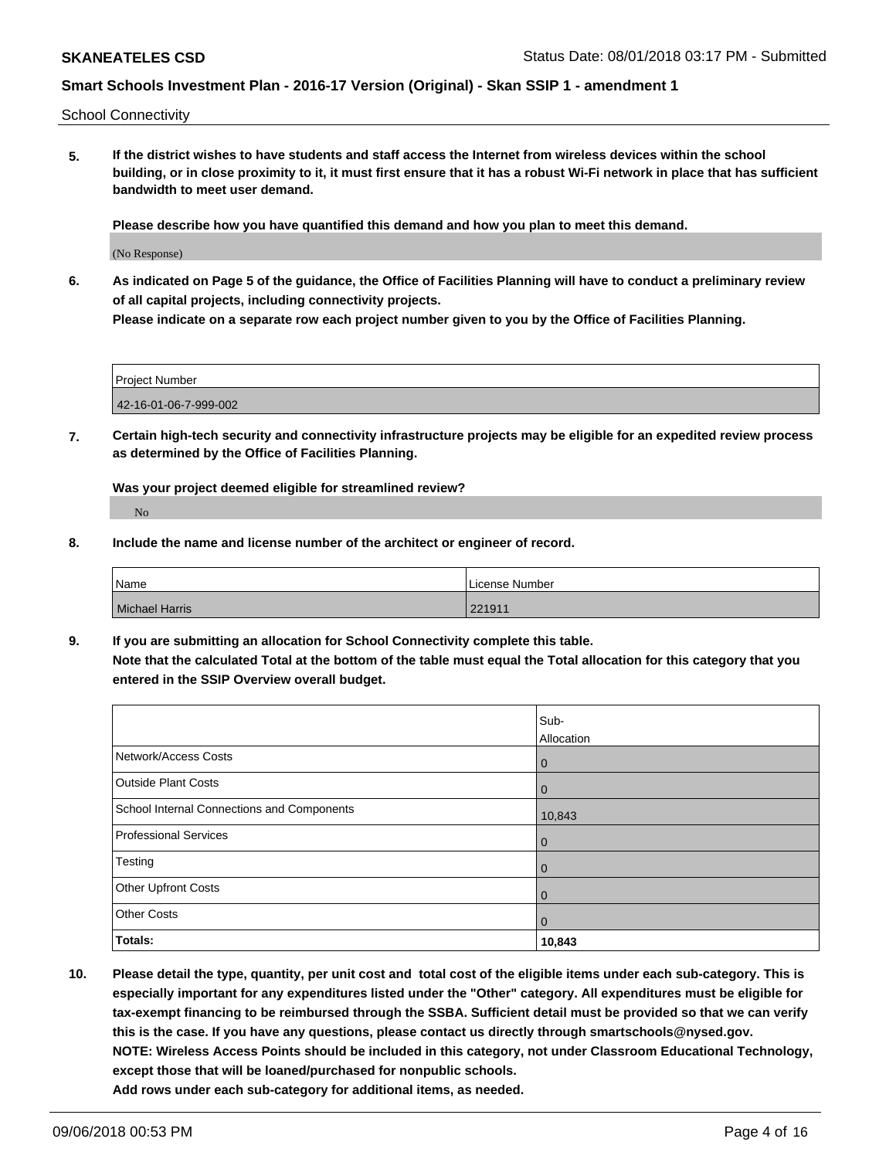School Connectivity

**5. If the district wishes to have students and staff access the Internet from wireless devices within the school building, or in close proximity to it, it must first ensure that it has a robust Wi-Fi network in place that has sufficient bandwidth to meet user demand.**

**Please describe how you have quantified this demand and how you plan to meet this demand.**

(No Response)

**6. As indicated on Page 5 of the guidance, the Office of Facilities Planning will have to conduct a preliminary review of all capital projects, including connectivity projects.**

**Please indicate on a separate row each project number given to you by the Office of Facilities Planning.**

| Project Number        |  |
|-----------------------|--|
| 42-16-01-06-7-999-002 |  |

**7. Certain high-tech security and connectivity infrastructure projects may be eligible for an expedited review process as determined by the Office of Facilities Planning.**

**Was your project deemed eligible for streamlined review?** No

**8. Include the name and license number of the architect or engineer of record.**

| Name           | l License Number |
|----------------|------------------|
| Michael Harris | 221911           |

**9. If you are submitting an allocation for School Connectivity complete this table. Note that the calculated Total at the bottom of the table must equal the Total allocation for this category that you entered in the SSIP Overview overall budget.** 

|                                            | Sub-<br>Allocation |
|--------------------------------------------|--------------------|
| Network/Access Costs                       | $\mathbf 0$        |
| <b>Outside Plant Costs</b>                 | 0                  |
| School Internal Connections and Components | 10,843             |
| <b>Professional Services</b>               | $\mathbf 0$        |
| Testing                                    | $\mathbf 0$        |
| <b>Other Upfront Costs</b>                 | $\mathbf 0$        |
| <b>Other Costs</b>                         | $\mathbf 0$        |
| Totals:                                    | 10,843             |

**10. Please detail the type, quantity, per unit cost and total cost of the eligible items under each sub-category. This is especially important for any expenditures listed under the "Other" category. All expenditures must be eligible for tax-exempt financing to be reimbursed through the SSBA. Sufficient detail must be provided so that we can verify this is the case. If you have any questions, please contact us directly through smartschools@nysed.gov. NOTE: Wireless Access Points should be included in this category, not under Classroom Educational Technology, except those that will be loaned/purchased for nonpublic schools. Add rows under each sub-category for additional items, as needed.**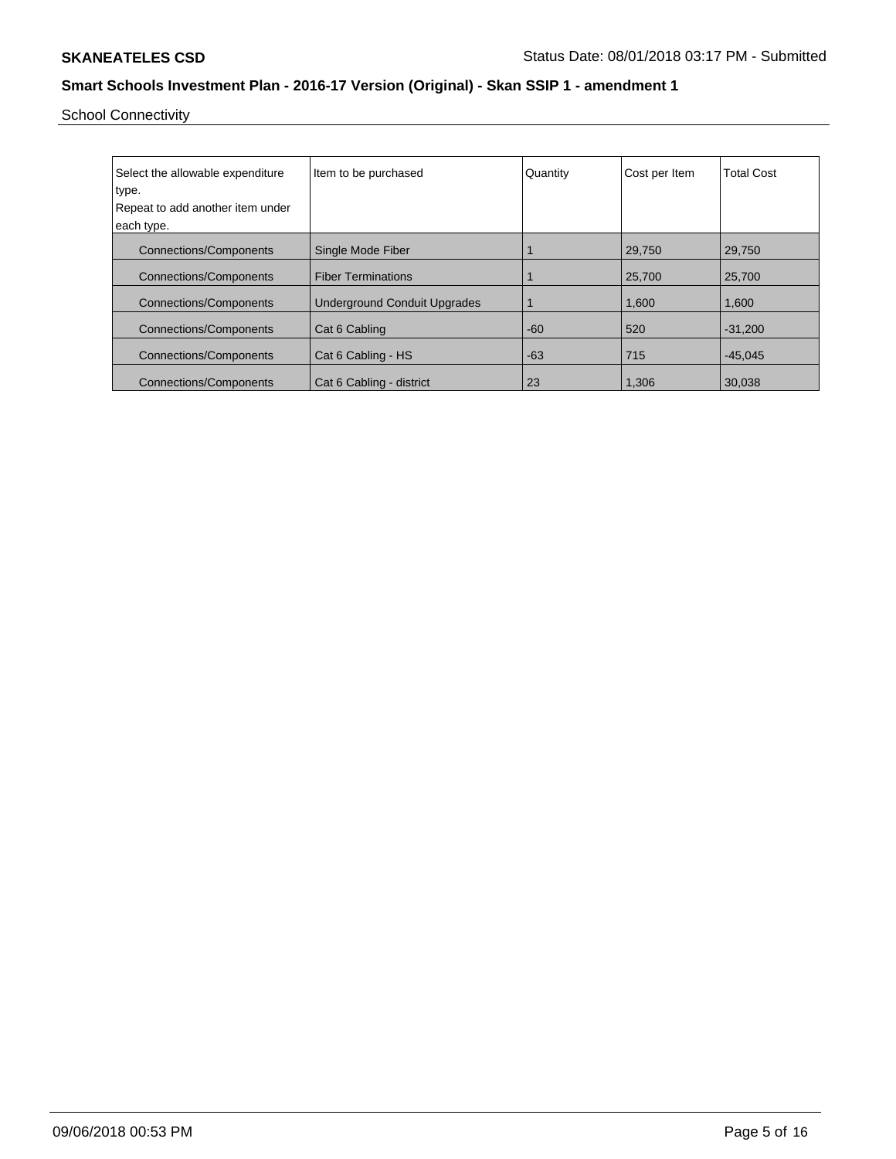School Connectivity

| Select the allowable expenditure<br>type. | Item to be purchased                | Quantity | Cost per Item | <b>Total Cost</b> |
|-------------------------------------------|-------------------------------------|----------|---------------|-------------------|
| Repeat to add another item under          |                                     |          |               |                   |
|                                           |                                     |          |               |                   |
| each type.                                |                                     |          |               |                   |
| <b>Connections/Components</b>             | Single Mode Fiber                   |          | 29,750        | 29,750            |
| <b>Connections/Components</b>             | <b>Fiber Terminations</b>           |          | 25,700        | 25,700            |
| <b>Connections/Components</b>             | <b>Underground Conduit Upgrades</b> |          | 1,600         | 1,600             |
| <b>Connections/Components</b>             | Cat 6 Cabling                       | $-60$    | 520           | $-31.200$         |
| <b>Connections/Components</b>             | Cat 6 Cabling - HS                  | $-63$    | 715           | $-45,045$         |
| <b>Connections/Components</b>             | Cat 6 Cabling - district            | 23       | 1,306         | 30,038            |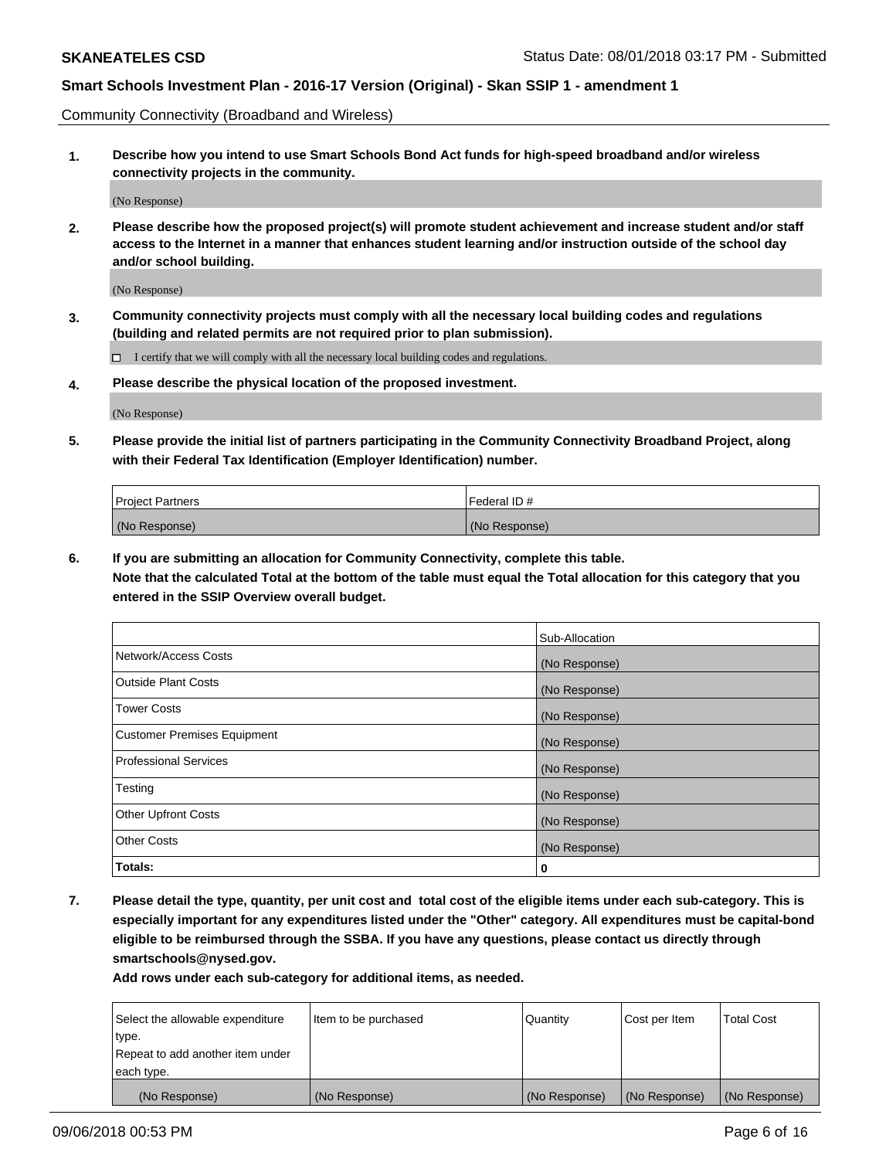Community Connectivity (Broadband and Wireless)

**1. Describe how you intend to use Smart Schools Bond Act funds for high-speed broadband and/or wireless connectivity projects in the community.**

(No Response)

**2. Please describe how the proposed project(s) will promote student achievement and increase student and/or staff access to the Internet in a manner that enhances student learning and/or instruction outside of the school day and/or school building.**

(No Response)

**3. Community connectivity projects must comply with all the necessary local building codes and regulations (building and related permits are not required prior to plan submission).**

 $\Box$  I certify that we will comply with all the necessary local building codes and regulations.

**4. Please describe the physical location of the proposed investment.**

(No Response)

**5. Please provide the initial list of partners participating in the Community Connectivity Broadband Project, along with their Federal Tax Identification (Employer Identification) number.**

| <b>Project Partners</b> | l Federal ID # |
|-------------------------|----------------|
| (No Response)           | (No Response)  |

**6. If you are submitting an allocation for Community Connectivity, complete this table.**

**Note that the calculated Total at the bottom of the table must equal the Total allocation for this category that you entered in the SSIP Overview overall budget.**

|                                    | Sub-Allocation |
|------------------------------------|----------------|
| Network/Access Costs               | (No Response)  |
| <b>Outside Plant Costs</b>         | (No Response)  |
| <b>Tower Costs</b>                 | (No Response)  |
| <b>Customer Premises Equipment</b> | (No Response)  |
| <b>Professional Services</b>       | (No Response)  |
| Testing                            | (No Response)  |
| <b>Other Upfront Costs</b>         | (No Response)  |
| <b>Other Costs</b>                 | (No Response)  |
| Totals:                            | 0              |

**7. Please detail the type, quantity, per unit cost and total cost of the eligible items under each sub-category. This is especially important for any expenditures listed under the "Other" category. All expenditures must be capital-bond eligible to be reimbursed through the SSBA. If you have any questions, please contact us directly through smartschools@nysed.gov.**

| Select the allowable expenditure | Item to be purchased | Quantity      | Cost per Item | <b>Total Cost</b> |
|----------------------------------|----------------------|---------------|---------------|-------------------|
| type.                            |                      |               |               |                   |
| Repeat to add another item under |                      |               |               |                   |
| each type.                       |                      |               |               |                   |
| (No Response)                    | (No Response)        | (No Response) | (No Response) | (No Response)     |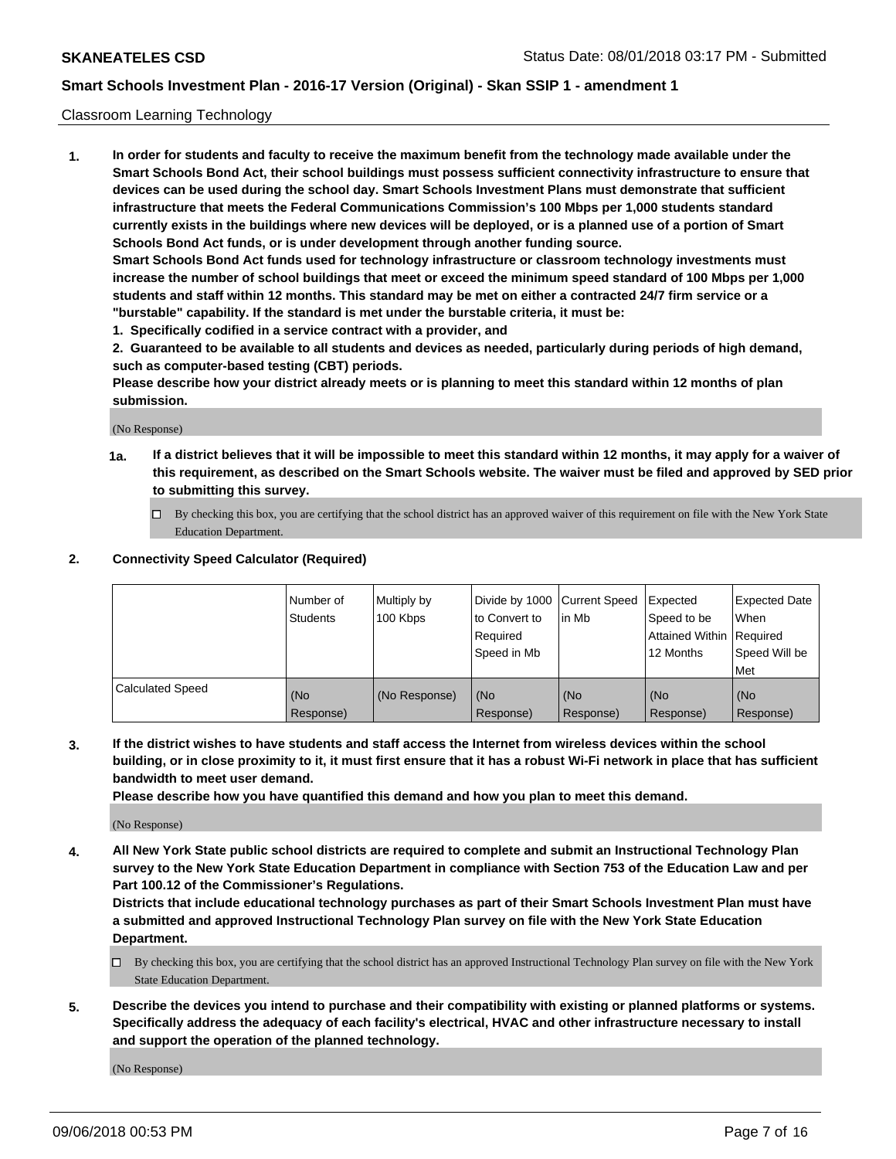#### Classroom Learning Technology

**1. In order for students and faculty to receive the maximum benefit from the technology made available under the Smart Schools Bond Act, their school buildings must possess sufficient connectivity infrastructure to ensure that devices can be used during the school day. Smart Schools Investment Plans must demonstrate that sufficient infrastructure that meets the Federal Communications Commission's 100 Mbps per 1,000 students standard currently exists in the buildings where new devices will be deployed, or is a planned use of a portion of Smart Schools Bond Act funds, or is under development through another funding source. Smart Schools Bond Act funds used for technology infrastructure or classroom technology investments must increase the number of school buildings that meet or exceed the minimum speed standard of 100 Mbps per 1,000 students and staff within 12 months. This standard may be met on either a contracted 24/7 firm service or a**

**"burstable" capability. If the standard is met under the burstable criteria, it must be:**

**1. Specifically codified in a service contract with a provider, and**

**2. Guaranteed to be available to all students and devices as needed, particularly during periods of high demand, such as computer-based testing (CBT) periods.**

**Please describe how your district already meets or is planning to meet this standard within 12 months of plan submission.**

(No Response)

- **1a. If a district believes that it will be impossible to meet this standard within 12 months, it may apply for a waiver of this requirement, as described on the Smart Schools website. The waiver must be filed and approved by SED prior to submitting this survey.**
	- By checking this box, you are certifying that the school district has an approved waiver of this requirement on file with the New York State Education Department.

#### **2. Connectivity Speed Calculator (Required)**

|                         | I Number of<br>Students | Multiply by<br>100 Kbps | to Convert to<br>Required<br>Speed in Mb | Divide by 1000 Current Speed Expected<br>lin Mb | Speed to be<br>Attained Within Required<br>12 Months | Expected Date<br>When<br>Speed Will be<br>Met |
|-------------------------|-------------------------|-------------------------|------------------------------------------|-------------------------------------------------|------------------------------------------------------|-----------------------------------------------|
| <b>Calculated Speed</b> | (No<br>Response)        | (No Response)           | (No<br>Response)                         | (No<br>Response)                                | (No<br>Response)                                     | (No<br>Response)                              |

**3. If the district wishes to have students and staff access the Internet from wireless devices within the school building, or in close proximity to it, it must first ensure that it has a robust Wi-Fi network in place that has sufficient bandwidth to meet user demand.**

**Please describe how you have quantified this demand and how you plan to meet this demand.**

(No Response)

**4. All New York State public school districts are required to complete and submit an Instructional Technology Plan survey to the New York State Education Department in compliance with Section 753 of the Education Law and per Part 100.12 of the Commissioner's Regulations.**

**Districts that include educational technology purchases as part of their Smart Schools Investment Plan must have a submitted and approved Instructional Technology Plan survey on file with the New York State Education Department.**

- $\Box$  By checking this box, you are certifying that the school district has an approved Instructional Technology Plan survey on file with the New York State Education Department.
- **5. Describe the devices you intend to purchase and their compatibility with existing or planned platforms or systems. Specifically address the adequacy of each facility's electrical, HVAC and other infrastructure necessary to install and support the operation of the planned technology.**

(No Response)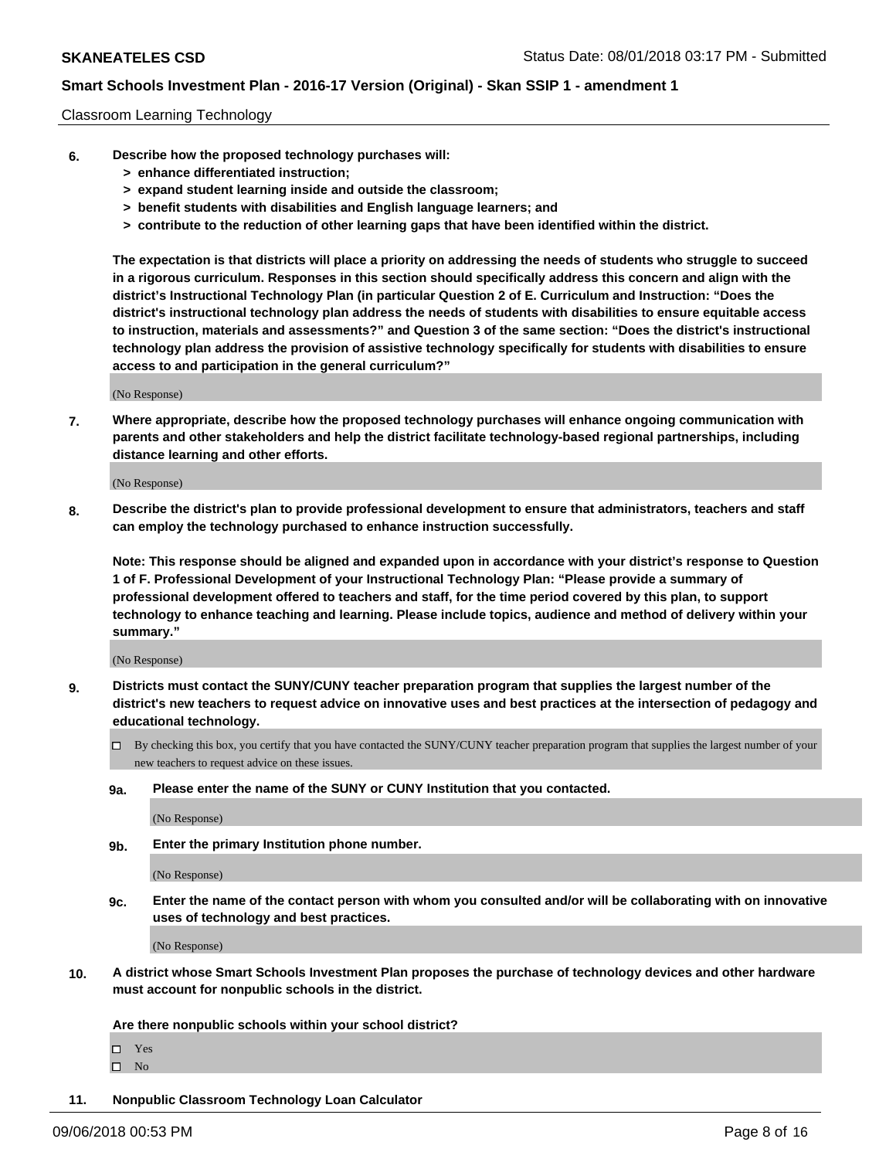#### Classroom Learning Technology

- **6. Describe how the proposed technology purchases will:**
	- **> enhance differentiated instruction;**
	- **> expand student learning inside and outside the classroom;**
	- **> benefit students with disabilities and English language learners; and**
	- **> contribute to the reduction of other learning gaps that have been identified within the district.**

**The expectation is that districts will place a priority on addressing the needs of students who struggle to succeed in a rigorous curriculum. Responses in this section should specifically address this concern and align with the district's Instructional Technology Plan (in particular Question 2 of E. Curriculum and Instruction: "Does the district's instructional technology plan address the needs of students with disabilities to ensure equitable access to instruction, materials and assessments?" and Question 3 of the same section: "Does the district's instructional technology plan address the provision of assistive technology specifically for students with disabilities to ensure access to and participation in the general curriculum?"**

(No Response)

**7. Where appropriate, describe how the proposed technology purchases will enhance ongoing communication with parents and other stakeholders and help the district facilitate technology-based regional partnerships, including distance learning and other efforts.**

(No Response)

**8. Describe the district's plan to provide professional development to ensure that administrators, teachers and staff can employ the technology purchased to enhance instruction successfully.**

**Note: This response should be aligned and expanded upon in accordance with your district's response to Question 1 of F. Professional Development of your Instructional Technology Plan: "Please provide a summary of professional development offered to teachers and staff, for the time period covered by this plan, to support technology to enhance teaching and learning. Please include topics, audience and method of delivery within your summary."**

(No Response)

- **9. Districts must contact the SUNY/CUNY teacher preparation program that supplies the largest number of the district's new teachers to request advice on innovative uses and best practices at the intersection of pedagogy and educational technology.**
	- By checking this box, you certify that you have contacted the SUNY/CUNY teacher preparation program that supplies the largest number of your new teachers to request advice on these issues.
	- **9a. Please enter the name of the SUNY or CUNY Institution that you contacted.**

(No Response)

**9b. Enter the primary Institution phone number.**

(No Response)

**9c. Enter the name of the contact person with whom you consulted and/or will be collaborating with on innovative uses of technology and best practices.**

(No Response)

**10. A district whose Smart Schools Investment Plan proposes the purchase of technology devices and other hardware must account for nonpublic schools in the district.**

**Are there nonpublic schools within your school district?**

Yes

 $\square$  No

**11. Nonpublic Classroom Technology Loan Calculator**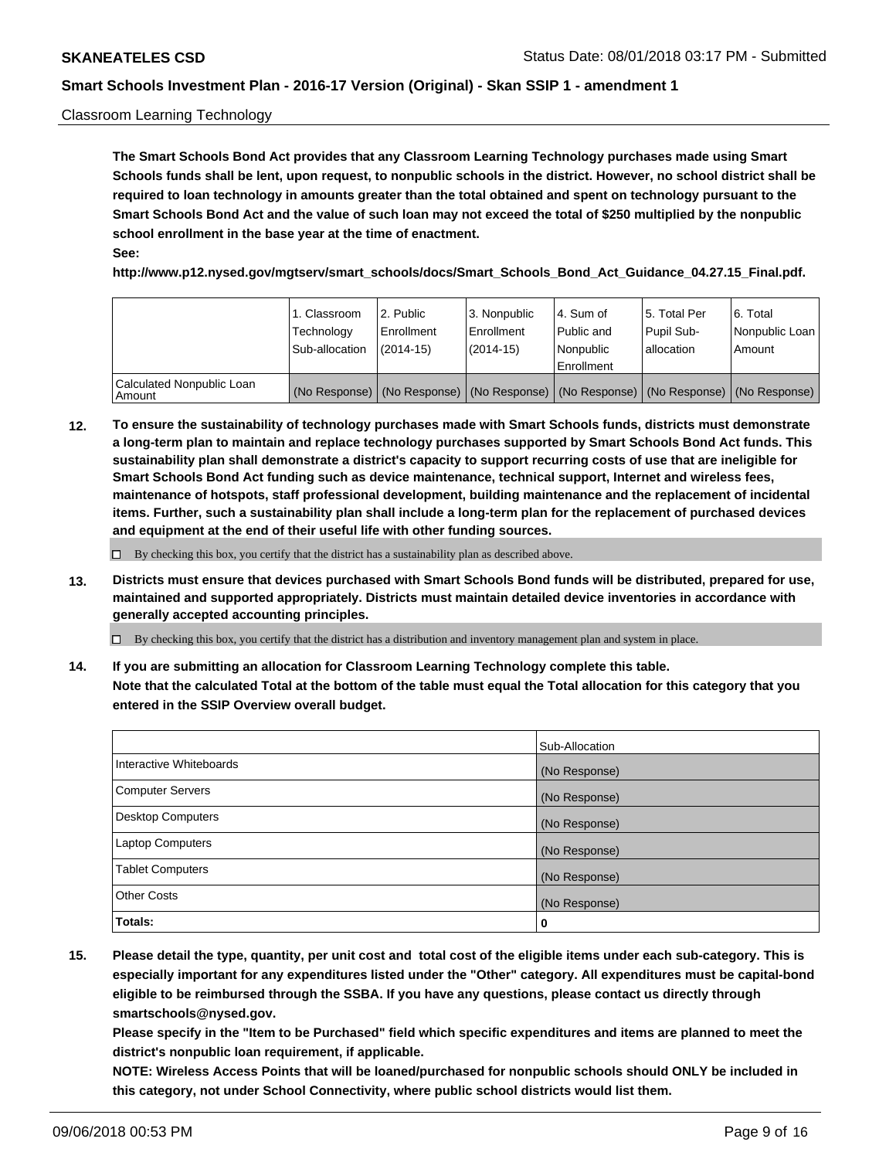#### Classroom Learning Technology

**The Smart Schools Bond Act provides that any Classroom Learning Technology purchases made using Smart Schools funds shall be lent, upon request, to nonpublic schools in the district. However, no school district shall be required to loan technology in amounts greater than the total obtained and spent on technology pursuant to the Smart Schools Bond Act and the value of such loan may not exceed the total of \$250 multiplied by the nonpublic school enrollment in the base year at the time of enactment. See:**

**http://www.p12.nysed.gov/mgtserv/smart\_schools/docs/Smart\_Schools\_Bond\_Act\_Guidance\_04.27.15\_Final.pdf.**

|                                       | 1. Classroom<br>Technology<br>Sub-allocation | l 2. Public<br>Enrollment<br>$(2014-15)$ | 3. Nonpublic<br>l Enrollment<br>$(2014-15)$ | l 4. Sum of<br>Public and<br>Nonpublic<br>Enrollment                                          | l 5. Total Per<br>Pupil Sub-<br>l allocation | l 6. Total<br>Nonpublic Loan<br>Amount |
|---------------------------------------|----------------------------------------------|------------------------------------------|---------------------------------------------|-----------------------------------------------------------------------------------------------|----------------------------------------------|----------------------------------------|
| Calculated Nonpublic Loan<br>l Amount |                                              |                                          |                                             | (No Response)   (No Response)   (No Response)   (No Response)   (No Response)   (No Response) |                                              |                                        |

**12. To ensure the sustainability of technology purchases made with Smart Schools funds, districts must demonstrate a long-term plan to maintain and replace technology purchases supported by Smart Schools Bond Act funds. This sustainability plan shall demonstrate a district's capacity to support recurring costs of use that are ineligible for Smart Schools Bond Act funding such as device maintenance, technical support, Internet and wireless fees, maintenance of hotspots, staff professional development, building maintenance and the replacement of incidental items. Further, such a sustainability plan shall include a long-term plan for the replacement of purchased devices and equipment at the end of their useful life with other funding sources.**

 $\Box$  By checking this box, you certify that the district has a sustainability plan as described above.

**13. Districts must ensure that devices purchased with Smart Schools Bond funds will be distributed, prepared for use, maintained and supported appropriately. Districts must maintain detailed device inventories in accordance with generally accepted accounting principles.**

By checking this box, you certify that the district has a distribution and inventory management plan and system in place.

**14. If you are submitting an allocation for Classroom Learning Technology complete this table. Note that the calculated Total at the bottom of the table must equal the Total allocation for this category that you entered in the SSIP Overview overall budget.**

|                         | Sub-Allocation |
|-------------------------|----------------|
| Interactive Whiteboards | (No Response)  |
| Computer Servers        | (No Response)  |
| Desktop Computers       | (No Response)  |
| Laptop Computers        | (No Response)  |
| <b>Tablet Computers</b> | (No Response)  |
| <b>Other Costs</b>      | (No Response)  |
| Totals:                 | 0              |

**15. Please detail the type, quantity, per unit cost and total cost of the eligible items under each sub-category. This is especially important for any expenditures listed under the "Other" category. All expenditures must be capital-bond eligible to be reimbursed through the SSBA. If you have any questions, please contact us directly through smartschools@nysed.gov.**

**Please specify in the "Item to be Purchased" field which specific expenditures and items are planned to meet the district's nonpublic loan requirement, if applicable.**

**NOTE: Wireless Access Points that will be loaned/purchased for nonpublic schools should ONLY be included in this category, not under School Connectivity, where public school districts would list them.**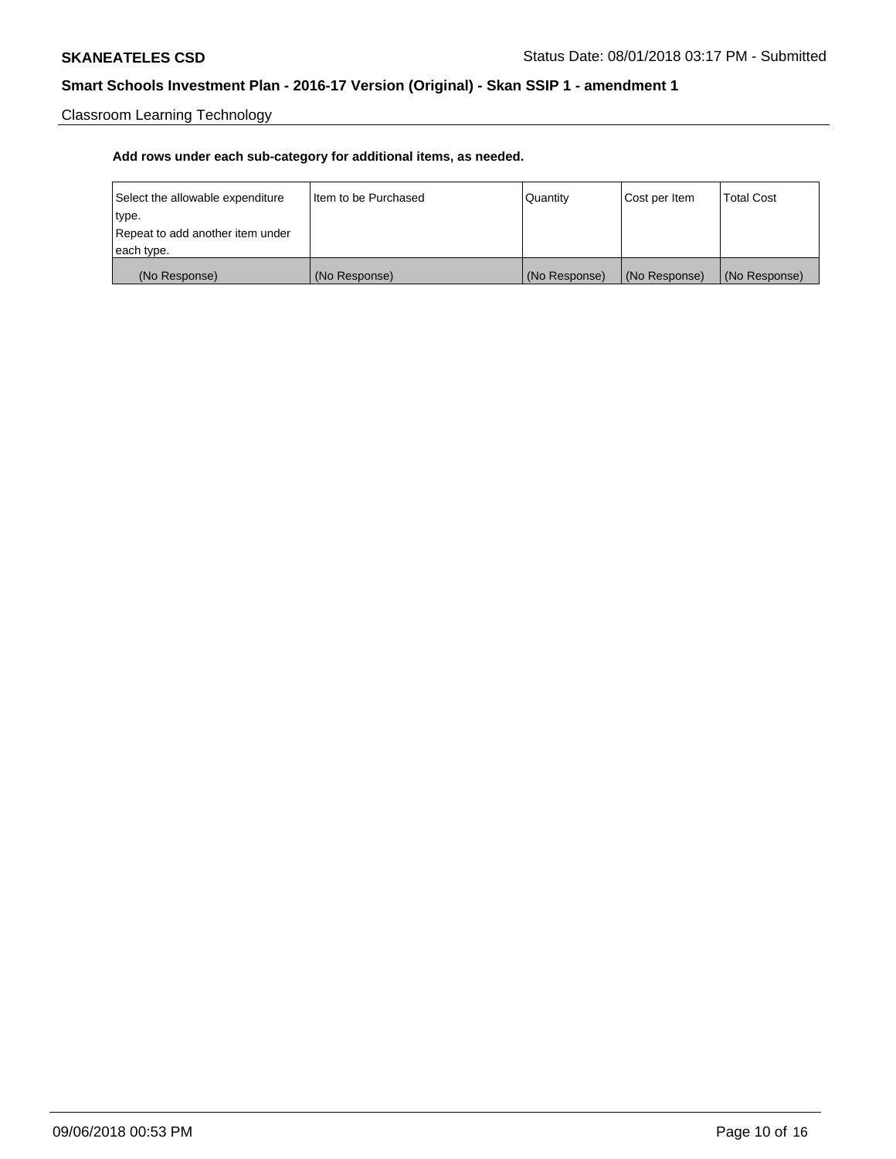Classroom Learning Technology

| Select the allowable expenditure | Iltem to be Purchased | Quantity      | Cost per Item | <b>Total Cost</b> |
|----------------------------------|-----------------------|---------------|---------------|-------------------|
| type.                            |                       |               |               |                   |
| Repeat to add another item under |                       |               |               |                   |
| each type.                       |                       |               |               |                   |
| (No Response)                    | (No Response)         | (No Response) | (No Response) | (No Response)     |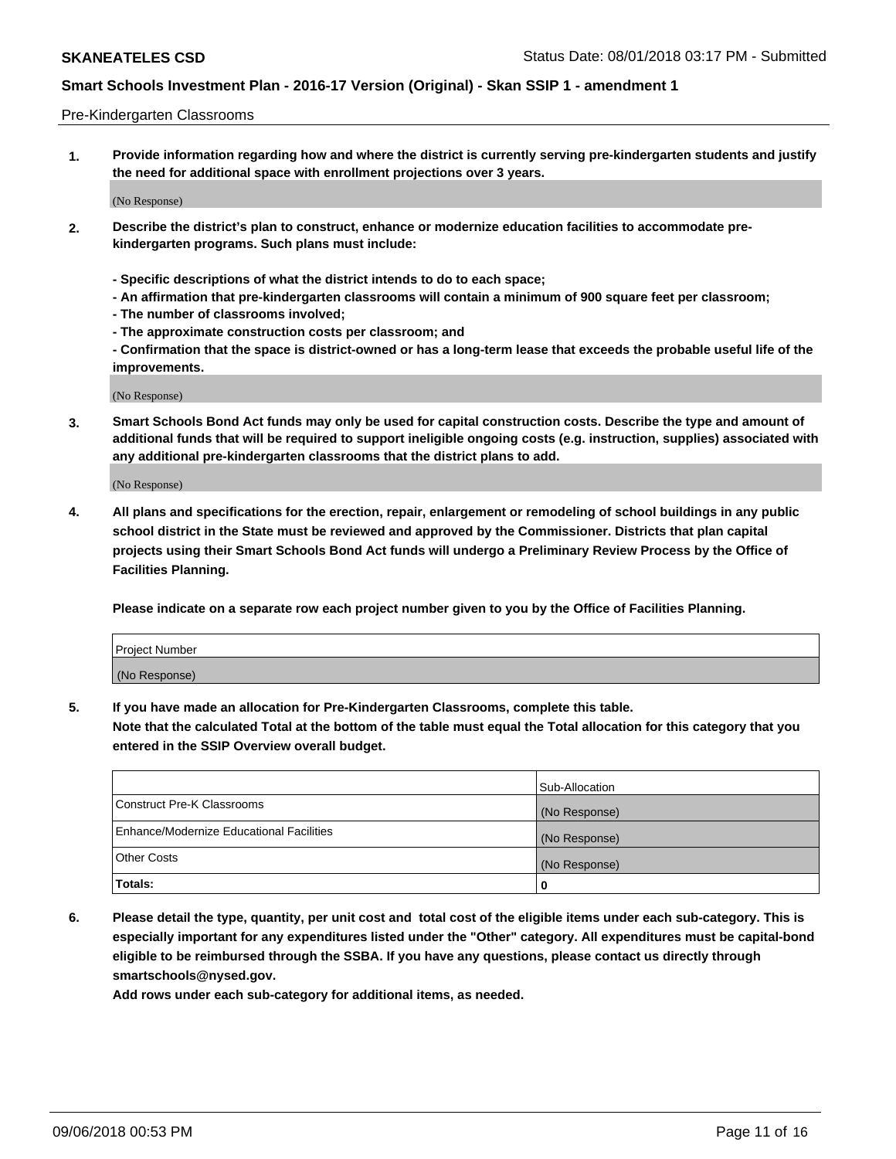#### Pre-Kindergarten Classrooms

**1. Provide information regarding how and where the district is currently serving pre-kindergarten students and justify the need for additional space with enrollment projections over 3 years.**

(No Response)

- **2. Describe the district's plan to construct, enhance or modernize education facilities to accommodate prekindergarten programs. Such plans must include:**
	- **Specific descriptions of what the district intends to do to each space;**
	- **An affirmation that pre-kindergarten classrooms will contain a minimum of 900 square feet per classroom;**
	- **The number of classrooms involved;**
	- **The approximate construction costs per classroom; and**
	- **Confirmation that the space is district-owned or has a long-term lease that exceeds the probable useful life of the improvements.**

(No Response)

**3. Smart Schools Bond Act funds may only be used for capital construction costs. Describe the type and amount of additional funds that will be required to support ineligible ongoing costs (e.g. instruction, supplies) associated with any additional pre-kindergarten classrooms that the district plans to add.**

(No Response)

**4. All plans and specifications for the erection, repair, enlargement or remodeling of school buildings in any public school district in the State must be reviewed and approved by the Commissioner. Districts that plan capital projects using their Smart Schools Bond Act funds will undergo a Preliminary Review Process by the Office of Facilities Planning.**

**Please indicate on a separate row each project number given to you by the Office of Facilities Planning.**

| Project Number |  |
|----------------|--|
| (No Response)  |  |
|                |  |

**5. If you have made an allocation for Pre-Kindergarten Classrooms, complete this table.**

**Note that the calculated Total at the bottom of the table must equal the Total allocation for this category that you entered in the SSIP Overview overall budget.**

|                                          | Sub-Allocation |
|------------------------------------------|----------------|
| Construct Pre-K Classrooms               | (No Response)  |
| Enhance/Modernize Educational Facilities | (No Response)  |
| <b>Other Costs</b>                       | (No Response)  |
| Totals:                                  | 0              |

**6. Please detail the type, quantity, per unit cost and total cost of the eligible items under each sub-category. This is especially important for any expenditures listed under the "Other" category. All expenditures must be capital-bond eligible to be reimbursed through the SSBA. If you have any questions, please contact us directly through smartschools@nysed.gov.**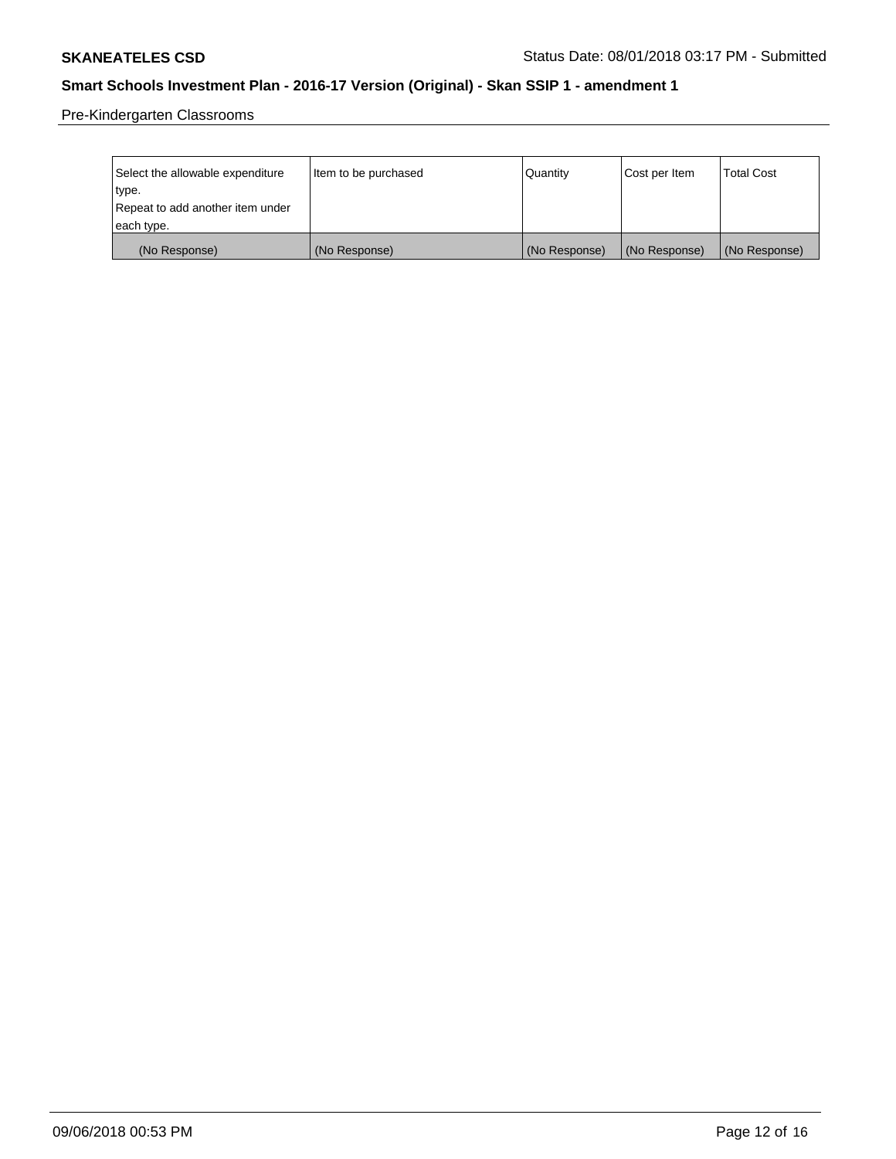Pre-Kindergarten Classrooms

| Select the allowable expenditure | Item to be purchased | Quantity      | Cost per Item | <b>Total Cost</b> |
|----------------------------------|----------------------|---------------|---------------|-------------------|
| type.                            |                      |               |               |                   |
| Repeat to add another item under |                      |               |               |                   |
| each type.                       |                      |               |               |                   |
| (No Response)                    | (No Response)        | (No Response) | (No Response) | (No Response)     |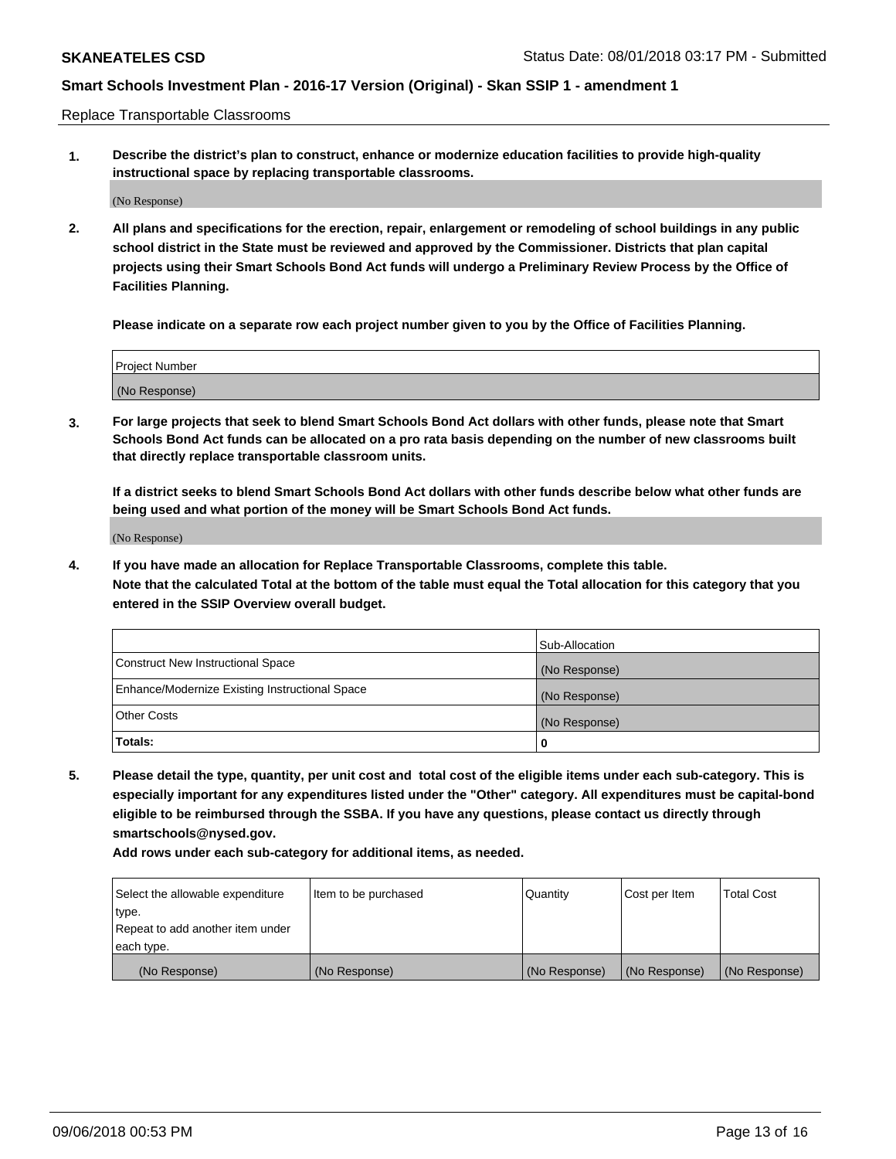Replace Transportable Classrooms

**1. Describe the district's plan to construct, enhance or modernize education facilities to provide high-quality instructional space by replacing transportable classrooms.**

(No Response)

**2. All plans and specifications for the erection, repair, enlargement or remodeling of school buildings in any public school district in the State must be reviewed and approved by the Commissioner. Districts that plan capital projects using their Smart Schools Bond Act funds will undergo a Preliminary Review Process by the Office of Facilities Planning.**

**Please indicate on a separate row each project number given to you by the Office of Facilities Planning.**

| Project Number |  |
|----------------|--|
|                |  |
|                |  |
|                |  |
|                |  |
| (No Response)  |  |
|                |  |
|                |  |
|                |  |

**3. For large projects that seek to blend Smart Schools Bond Act dollars with other funds, please note that Smart Schools Bond Act funds can be allocated on a pro rata basis depending on the number of new classrooms built that directly replace transportable classroom units.**

**If a district seeks to blend Smart Schools Bond Act dollars with other funds describe below what other funds are being used and what portion of the money will be Smart Schools Bond Act funds.**

(No Response)

**4. If you have made an allocation for Replace Transportable Classrooms, complete this table. Note that the calculated Total at the bottom of the table must equal the Total allocation for this category that you entered in the SSIP Overview overall budget.**

|                                                | Sub-Allocation |
|------------------------------------------------|----------------|
| Construct New Instructional Space              | (No Response)  |
| Enhance/Modernize Existing Instructional Space | (No Response)  |
| <b>Other Costs</b>                             | (No Response)  |
| Totals:                                        | 0              |

**5. Please detail the type, quantity, per unit cost and total cost of the eligible items under each sub-category. This is especially important for any expenditures listed under the "Other" category. All expenditures must be capital-bond eligible to be reimbursed through the SSBA. If you have any questions, please contact us directly through smartschools@nysed.gov.**

| Select the allowable expenditure | Item to be purchased | l Quantitv    | Cost per Item | <b>Total Cost</b> |
|----------------------------------|----------------------|---------------|---------------|-------------------|
| type.                            |                      |               |               |                   |
| Repeat to add another item under |                      |               |               |                   |
| each type.                       |                      |               |               |                   |
| (No Response)                    | (No Response)        | (No Response) | (No Response) | (No Response)     |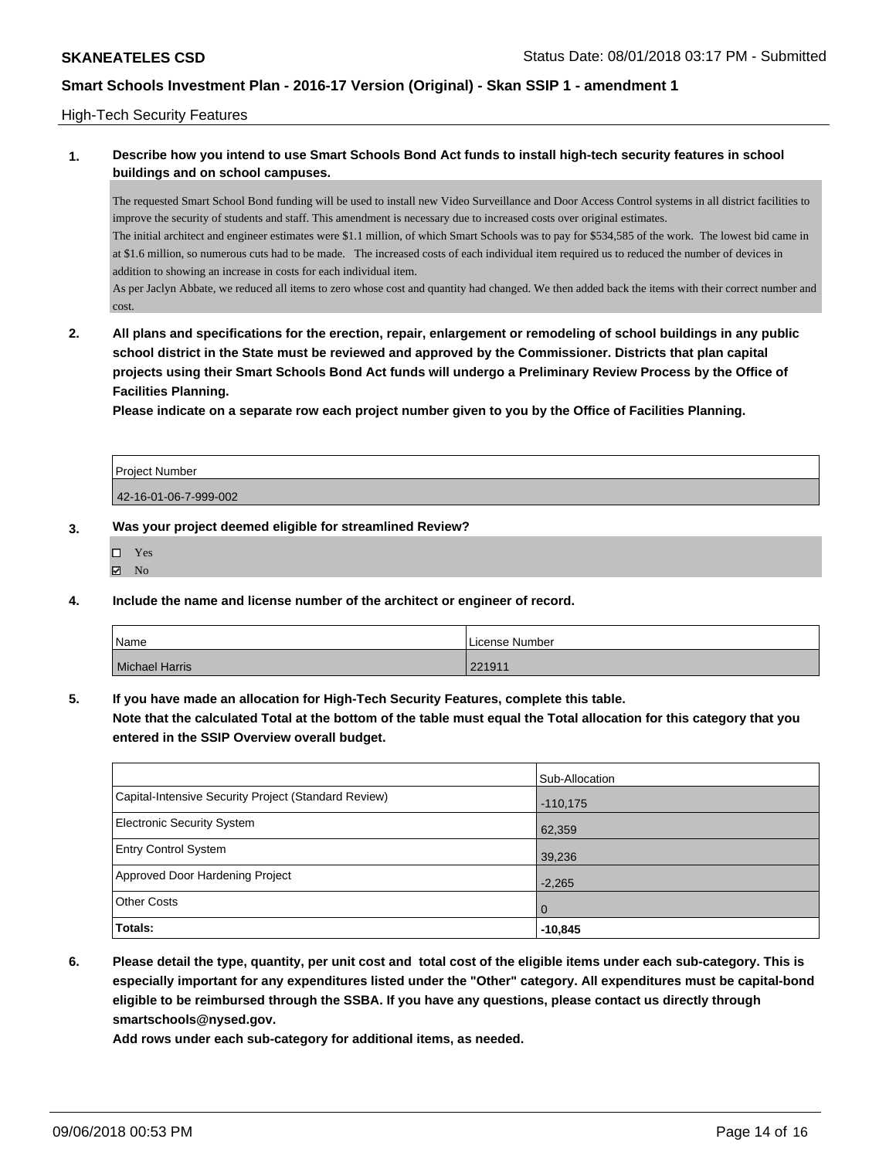#### High-Tech Security Features

### **1. Describe how you intend to use Smart Schools Bond Act funds to install high-tech security features in school buildings and on school campuses.**

The requested Smart School Bond funding will be used to install new Video Surveillance and Door Access Control systems in all district facilities to improve the security of students and staff. This amendment is necessary due to increased costs over original estimates. The initial architect and engineer estimates were \$1.1 million, of which Smart Schools was to pay for \$534,585 of the work. The lowest bid came in at \$1.6 million, so numerous cuts had to be made. The increased costs of each individual item required us to reduced the number of devices in addition to showing an increase in costs for each individual item.

As per Jaclyn Abbate, we reduced all items to zero whose cost and quantity had changed. We then added back the items with their correct number and cost.

**2. All plans and specifications for the erection, repair, enlargement or remodeling of school buildings in any public school district in the State must be reviewed and approved by the Commissioner. Districts that plan capital projects using their Smart Schools Bond Act funds will undergo a Preliminary Review Process by the Office of Facilities Planning.** 

**Please indicate on a separate row each project number given to you by the Office of Facilities Planning.**

| <b>Project Number</b> |  |
|-----------------------|--|
| 42-16-01-06-7-999-002 |  |

#### **3. Was your project deemed eligible for streamlined Review?**

| п | Yes |
|---|-----|
| 罓 | Nο  |

**4. Include the name and license number of the architect or engineer of record.**

| Name                  | License Number |
|-----------------------|----------------|
| <b>Michael Harris</b> | 221911         |

**5. If you have made an allocation for High-Tech Security Features, complete this table.**

**Note that the calculated Total at the bottom of the table must equal the Total allocation for this category that you entered in the SSIP Overview overall budget.**

|                                                      | Sub-Allocation |
|------------------------------------------------------|----------------|
| Capital-Intensive Security Project (Standard Review) | $-110,175$     |
| <b>Electronic Security System</b>                    | 62,359         |
| <b>Entry Control System</b>                          | 39,236         |
| Approved Door Hardening Project                      | $-2,265$       |
| <b>Other Costs</b>                                   | l O            |
| Totals:                                              | $-10,845$      |

**6. Please detail the type, quantity, per unit cost and total cost of the eligible items under each sub-category. This is especially important for any expenditures listed under the "Other" category. All expenditures must be capital-bond eligible to be reimbursed through the SSBA. If you have any questions, please contact us directly through smartschools@nysed.gov.**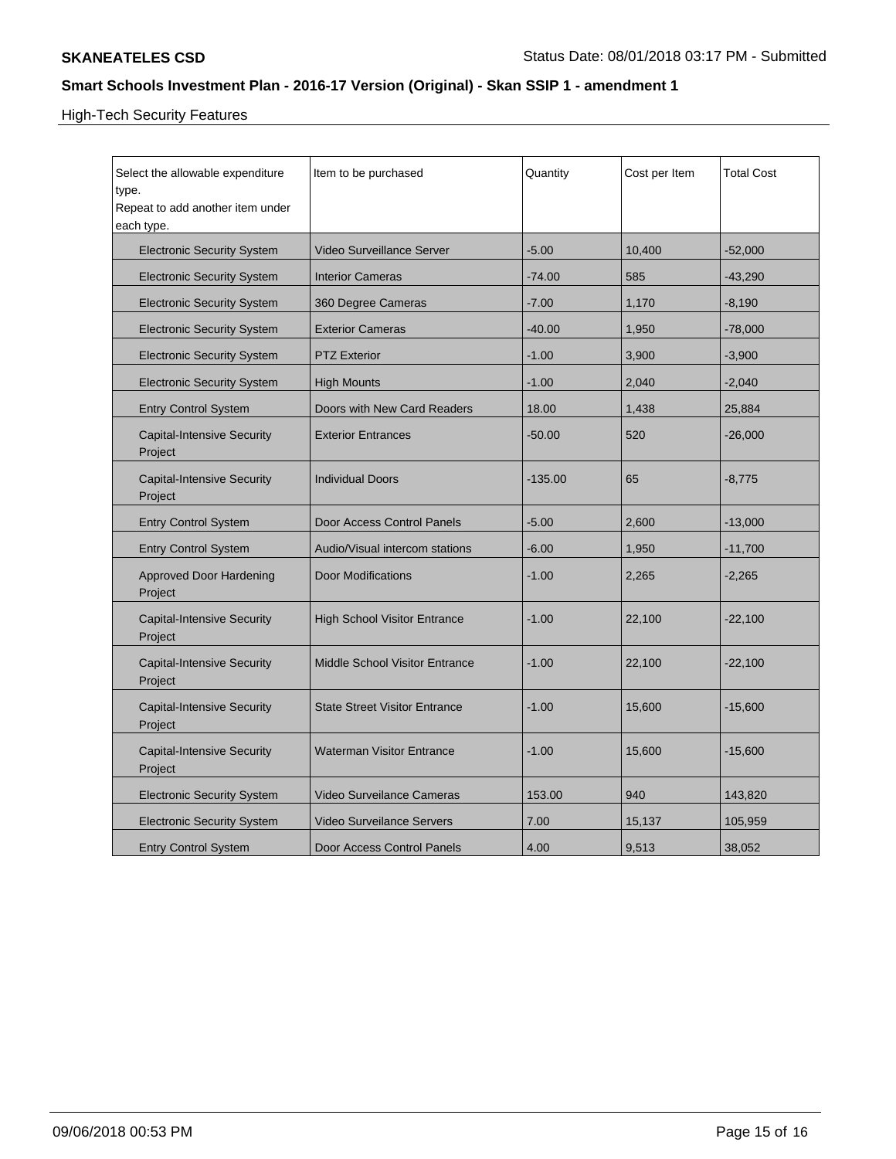# High-Tech Security Features

| Select the allowable expenditure<br>type.<br>Repeat to add another item under<br>each type. | Item to be purchased                  | Quantity  | Cost per Item | <b>Total Cost</b> |
|---------------------------------------------------------------------------------------------|---------------------------------------|-----------|---------------|-------------------|
| <b>Electronic Security System</b>                                                           | <b>Video Surveillance Server</b>      | $-5.00$   | 10,400        | $-52,000$         |
| <b>Electronic Security System</b>                                                           | <b>Interior Cameras</b>               | $-74.00$  | 585           | $-43,290$         |
| <b>Electronic Security System</b>                                                           | 360 Degree Cameras                    | $-7.00$   | 1,170         | $-8,190$          |
| <b>Electronic Security System</b>                                                           | <b>Exterior Cameras</b>               | $-40.00$  | 1,950         | $-78,000$         |
| <b>Electronic Security System</b>                                                           | <b>PTZ Exterior</b>                   | $-1.00$   | 3,900         | $-3,900$          |
| <b>Electronic Security System</b>                                                           | <b>High Mounts</b>                    | $-1.00$   | 2,040         | $-2,040$          |
| <b>Entry Control System</b>                                                                 | Doors with New Card Readers           | 18.00     | 1,438         | 25,884            |
| <b>Capital-Intensive Security</b><br>Project                                                | <b>Exterior Entrances</b>             | $-50.00$  | 520           | $-26,000$         |
| <b>Capital-Intensive Security</b><br>Project                                                | <b>Individual Doors</b>               | $-135.00$ | 65            | $-8,775$          |
| <b>Entry Control System</b>                                                                 | Door Access Control Panels            | $-5.00$   | 2,600         | $-13,000$         |
| <b>Entry Control System</b>                                                                 | Audio/Visual intercom stations        | $-6.00$   | 1,950         | $-11,700$         |
| <b>Approved Door Hardening</b><br>Project                                                   | <b>Door Modifications</b>             | $-1.00$   | 2,265         | $-2,265$          |
| <b>Capital-Intensive Security</b><br>Project                                                | <b>High School Visitor Entrance</b>   | $-1.00$   | 22,100        | $-22,100$         |
| <b>Capital-Intensive Security</b><br>Project                                                | <b>Middle School Visitor Entrance</b> | $-1.00$   | 22,100        | $-22,100$         |
| <b>Capital-Intensive Security</b><br>Project                                                | <b>State Street Visitor Entrance</b>  | $-1.00$   | 15,600        | $-15,600$         |
| <b>Capital-Intensive Security</b><br>Project                                                | <b>Waterman Visitor Entrance</b>      | $-1.00$   | 15,600        | $-15,600$         |
| <b>Electronic Security System</b>                                                           | Video Surveilance Cameras             | 153.00    | 940           | 143,820           |
| <b>Electronic Security System</b>                                                           | <b>Video Surveilance Servers</b>      | 7.00      | 15,137        | 105,959           |
| <b>Entry Control System</b>                                                                 | Door Access Control Panels            | 4.00      | 9,513         | 38,052            |